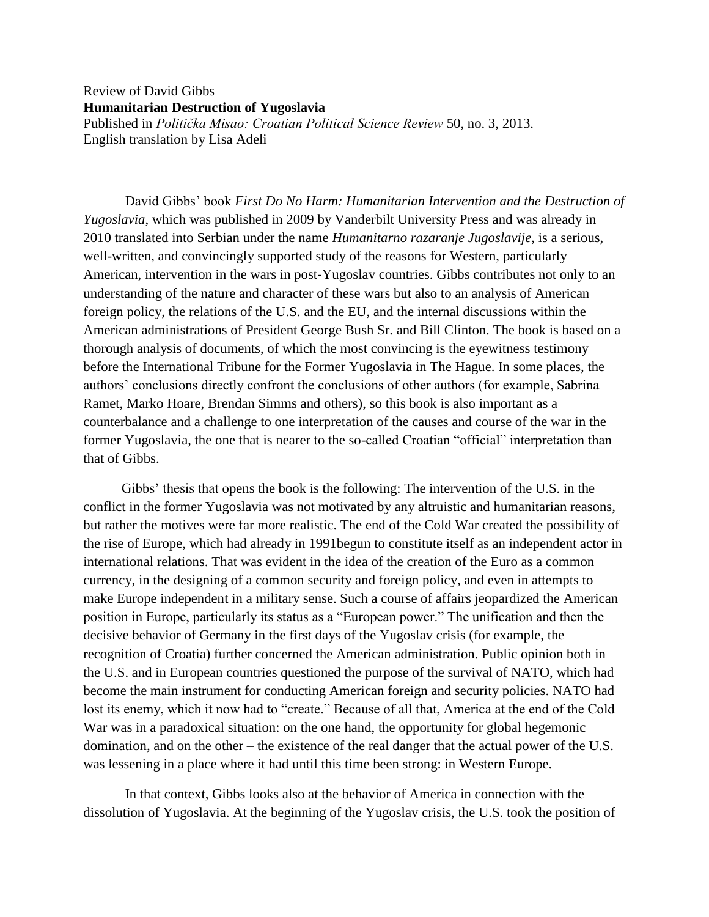Review of David Gibbs **Humanitarian Destruction of Yugoslavia** Published in *Politička Misao: Croatian Political Science Review* 50, no. 3, 2013. English translation by Lisa Adeli

David Gibbs' book *First Do No Harm: Humanitarian Intervention and the Destruction of Yugoslavia*, which was published in 2009 by Vanderbilt University Press and was already in 2010 translated into Serbian under the name *Humanitarno razaranje Jugoslavije*, is a serious, well-written, and convincingly supported study of the reasons for Western, particularly American, intervention in the wars in post-Yugoslav countries. Gibbs contributes not only to an understanding of the nature and character of these wars but also to an analysis of American foreign policy, the relations of the U.S. and the EU, and the internal discussions within the American administrations of President George Bush Sr. and Bill Clinton. The book is based on a thorough analysis of documents, of which the most convincing is the eyewitness testimony before the International Tribune for the Former Yugoslavia in The Hague. In some places, the authors' conclusions directly confront the conclusions of other authors (for example, Sabrina Ramet, Marko Hoare, Brendan Simms and others), so this book is also important as a counterbalance and a challenge to one interpretation of the causes and course of the war in the former Yugoslavia, the one that is nearer to the so-called Croatian "official" interpretation than that of Gibbs.

 Gibbs' thesis that opens the book is the following: The intervention of the U.S. in the conflict in the former Yugoslavia was not motivated by any altruistic and humanitarian reasons, but rather the motives were far more realistic. The end of the Cold War created the possibility of the rise of Europe, which had already in 1991begun to constitute itself as an independent actor in international relations. That was evident in the idea of the creation of the Euro as a common currency, in the designing of a common security and foreign policy, and even in attempts to make Europe independent in a military sense. Such a course of affairs jeopardized the American position in Europe, particularly its status as a "European power." The unification and then the decisive behavior of Germany in the first days of the Yugoslav crisis (for example, the recognition of Croatia) further concerned the American administration. Public opinion both in the U.S. and in European countries questioned the purpose of the survival of NATO, which had become the main instrument for conducting American foreign and security policies. NATO had lost its enemy, which it now had to "create." Because of all that, America at the end of the Cold War was in a paradoxical situation: on the one hand, the opportunity for global hegemonic domination, and on the other – the existence of the real danger that the actual power of the U.S. was lessening in a place where it had until this time been strong: in Western Europe.

In that context, Gibbs looks also at the behavior of America in connection with the dissolution of Yugoslavia. At the beginning of the Yugoslav crisis, the U.S. took the position of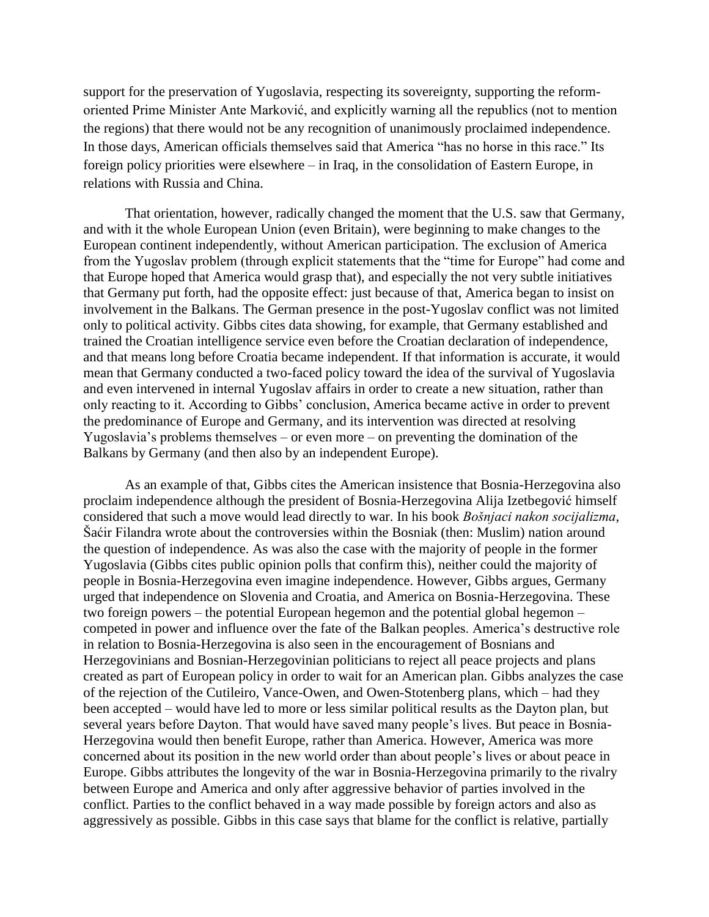support for the preservation of Yugoslavia, respecting its sovereignty, supporting the reformoriented Prime Minister Ante Marković, and explicitly warning all the republics (not to mention the regions) that there would not be any recognition of unanimously proclaimed independence. In those days, American officials themselves said that America "has no horse in this race." Its foreign policy priorities were elsewhere – in Iraq, in the consolidation of Eastern Europe, in relations with Russia and China.

That orientation, however, radically changed the moment that the U.S. saw that Germany, and with it the whole European Union (even Britain), were beginning to make changes to the European continent independently, without American participation. The exclusion of America from the Yugoslav problem (through explicit statements that the "time for Europe" had come and that Europe hoped that America would grasp that), and especially the not very subtle initiatives that Germany put forth, had the opposite effect: just because of that, America began to insist on involvement in the Balkans. The German presence in the post-Yugoslav conflict was not limited only to political activity. Gibbs cites data showing, for example, that Germany established and trained the Croatian intelligence service even before the Croatian declaration of independence, and that means long before Croatia became independent. If that information is accurate, it would mean that Germany conducted a two-faced policy toward the idea of the survival of Yugoslavia and even intervened in internal Yugoslav affairs in order to create a new situation, rather than only reacting to it. According to Gibbs' conclusion, America became active in order to prevent the predominance of Europe and Germany, and its intervention was directed at resolving Yugoslavia's problems themselves – or even more – on preventing the domination of the Balkans by Germany (and then also by an independent Europe).

As an example of that, Gibbs cites the American insistence that Bosnia-Herzegovina also proclaim independence although the president of Bosnia-Herzegovina Alija Izetbegović himself considered that such a move would lead directly to war. In his book *Bošnjaci nakon socijalizma*, Šaćir Filandra wrote about the controversies within the Bosniak (then: Muslim) nation around the question of independence. As was also the case with the majority of people in the former Yugoslavia (Gibbs cites public opinion polls that confirm this), neither could the majority of people in Bosnia-Herzegovina even imagine independence. However, Gibbs argues, Germany urged that independence on Slovenia and Croatia, and America on Bosnia-Herzegovina. These two foreign powers – the potential European hegemon and the potential global hegemon – competed in power and influence over the fate of the Balkan peoples. America's destructive role in relation to Bosnia-Herzegovina is also seen in the encouragement of Bosnians and Herzegovinians and Bosnian-Herzegovinian politicians to reject all peace projects and plans created as part of European policy in order to wait for an American plan. Gibbs analyzes the case of the rejection of the Cutileiro, Vance-Owen, and Owen-Stotenberg plans, which – had they been accepted – would have led to more or less similar political results as the Dayton plan, but several years before Dayton. That would have saved many people's lives. But peace in Bosnia-Herzegovina would then benefit Europe, rather than America. However, America was more concerned about its position in the new world order than about people's lives or about peace in Europe. Gibbs attributes the longevity of the war in Bosnia-Herzegovina primarily to the rivalry between Europe and America and only after aggressive behavior of parties involved in the conflict. Parties to the conflict behaved in a way made possible by foreign actors and also as aggressively as possible. Gibbs in this case says that blame for the conflict is relative, partially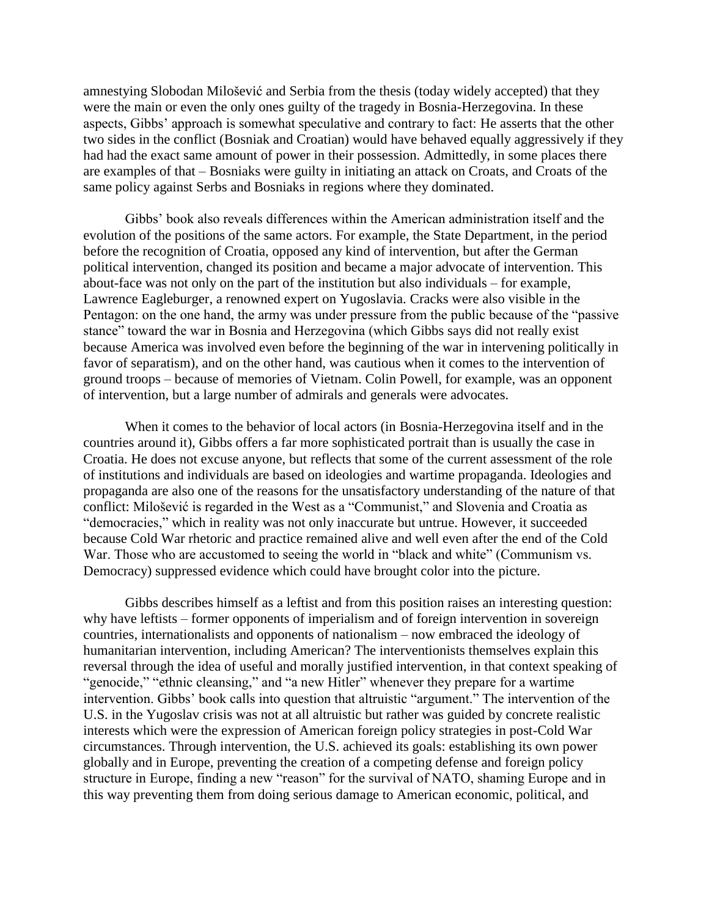amnestying Slobodan Milošević and Serbia from the thesis (today widely accepted) that they were the main or even the only ones guilty of the tragedy in Bosnia-Herzegovina. In these aspects, Gibbs' approach is somewhat speculative and contrary to fact: He asserts that the other two sides in the conflict (Bosniak and Croatian) would have behaved equally aggressively if they had had the exact same amount of power in their possession. Admittedly, in some places there are examples of that – Bosniaks were guilty in initiating an attack on Croats, and Croats of the same policy against Serbs and Bosniaks in regions where they dominated.

Gibbs' book also reveals differences within the American administration itself and the evolution of the positions of the same actors. For example, the State Department, in the period before the recognition of Croatia, opposed any kind of intervention, but after the German political intervention, changed its position and became a major advocate of intervention. This about-face was not only on the part of the institution but also individuals – for example, Lawrence Eagleburger, a renowned expert on Yugoslavia. Cracks were also visible in the Pentagon: on the one hand, the army was under pressure from the public because of the "passive stance" toward the war in Bosnia and Herzegovina (which Gibbs says did not really exist because America was involved even before the beginning of the war in intervening politically in favor of separatism), and on the other hand, was cautious when it comes to the intervention of ground troops – because of memories of Vietnam. Colin Powell, for example, was an opponent of intervention, but a large number of admirals and generals were advocates.

When it comes to the behavior of local actors (in Bosnia-Herzegovina itself and in the countries around it), Gibbs offers a far more sophisticated portrait than is usually the case in Croatia. He does not excuse anyone, but reflects that some of the current assessment of the role of institutions and individuals are based on ideologies and wartime propaganda. Ideologies and propaganda are also one of the reasons for the unsatisfactory understanding of the nature of that conflict: Milošević is regarded in the West as a "Communist," and Slovenia and Croatia as "democracies," which in reality was not only inaccurate but untrue. However, it succeeded because Cold War rhetoric and practice remained alive and well even after the end of the Cold War. Those who are accustomed to seeing the world in "black and white" (Communism vs. Democracy) suppressed evidence which could have brought color into the picture.

Gibbs describes himself as a leftist and from this position raises an interesting question: why have leftists – former opponents of imperialism and of foreign intervention in sovereign countries, internationalists and opponents of nationalism – now embraced the ideology of humanitarian intervention, including American? The interventionists themselves explain this reversal through the idea of useful and morally justified intervention, in that context speaking of "genocide," "ethnic cleansing," and "a new Hitler" whenever they prepare for a wartime intervention. Gibbs' book calls into question that altruistic "argument." The intervention of the U.S. in the Yugoslav crisis was not at all altruistic but rather was guided by concrete realistic interests which were the expression of American foreign policy strategies in post-Cold War circumstances. Through intervention, the U.S. achieved its goals: establishing its own power globally and in Europe, preventing the creation of a competing defense and foreign policy structure in Europe, finding a new "reason" for the survival of NATO, shaming Europe and in this way preventing them from doing serious damage to American economic, political, and